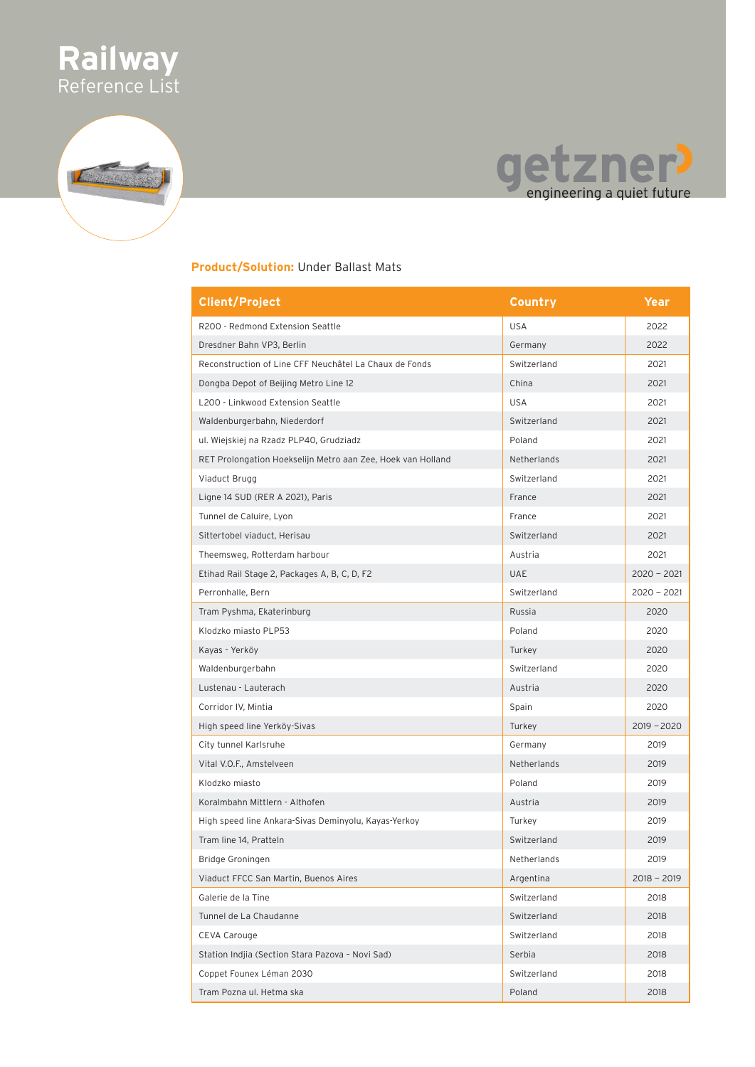



#### **Product/Solution:** Under Ballast Mats

| <b>Client/Project</b>                                       | Country     | Year          |
|-------------------------------------------------------------|-------------|---------------|
| R200 - Redmond Extension Seattle                            | <b>USA</b>  | 2022          |
| Dresdner Bahn VP3, Berlin                                   | Germany     | 2022          |
| Reconstruction of Line CFF Neuchâtel La Chaux de Fonds      | Switzerland | 2021          |
| Dongba Depot of Beijing Metro Line 12                       | China       | 2021          |
| L200 - Linkwood Extension Seattle                           | <b>USA</b>  | 2021          |
| Waldenburgerbahn, Niederdorf                                | Switzerland | 2021          |
| ul. Wiejskiej na Rzadz PLP40, Grudziadz                     | Poland      | 2021          |
| RET Prolongation Hoekselijn Metro aan Zee, Hoek van Holland | Netherlands | 2021          |
| Viaduct Brugg                                               | Switzerland | 2021          |
| Ligne 14 SUD (RER A 2021), Paris                            | France      | 2021          |
| Tunnel de Caluire, Lyon                                     | France      | 2021          |
| Sittertobel viaduct, Herisau                                | Switzerland | 2021          |
| Theemsweg, Rotterdam harbour                                | Austria     | 2021          |
| Etihad Rail Stage 2, Packages A, B, C, D, F2                | <b>UAE</b>  | $2020 - 2021$ |
| Perronhalle, Bern                                           | Switzerland | $2020 - 2021$ |
| Tram Pyshma, Ekaterinburg                                   | Russia      | 2020          |
| Klodzko miasto PLP53                                        | Poland      | 2020          |
| Kayas - Yerköy                                              | Turkey      | 2020          |
| Waldenburgerbahn                                            | Switzerland | 2020          |
| Lustenau - Lauterach                                        | Austria     | 2020          |
| Corridor IV, Mintia                                         | Spain       | 2020          |
| High speed line Yerköy-Sivas                                | Turkey      | $2019 - 2020$ |
| City tunnel Karlsruhe                                       | Germany     | 2019          |
| Vital V.O.F., Amstelveen                                    | Netherlands | 2019          |
| Klodzko miasto                                              | Poland      | 2019          |
| Koralmbahn Mittlern - Althofen                              | Austria     | 2019          |
| High speed line Ankara-Sivas Deminyolu, Kayas-Yerkoy        | Turkey      | 2019          |
| Tram line 14, Pratteln                                      | Switzerland | 2019          |
| Bridge Groningen                                            | Netherlands | 2019          |
| Viaduct FFCC San Martin, Buenos Aires                       | Argentina   | $2018 - 2019$ |
| Galerie de la Tine                                          | Switzerland | 2018          |
| Tunnel de La Chaudanne                                      | Switzerland | 2018          |
| CEVA Carouge                                                | Switzerland | 2018          |
| Station Indjia (Section Stara Pazova - Novi Sad)            | Serbia      | 2018          |
| Coppet Founex Léman 2030                                    | Switzerland | 2018          |
| Tram Pozna ul. Hetma ska                                    | Poland      | 2018          |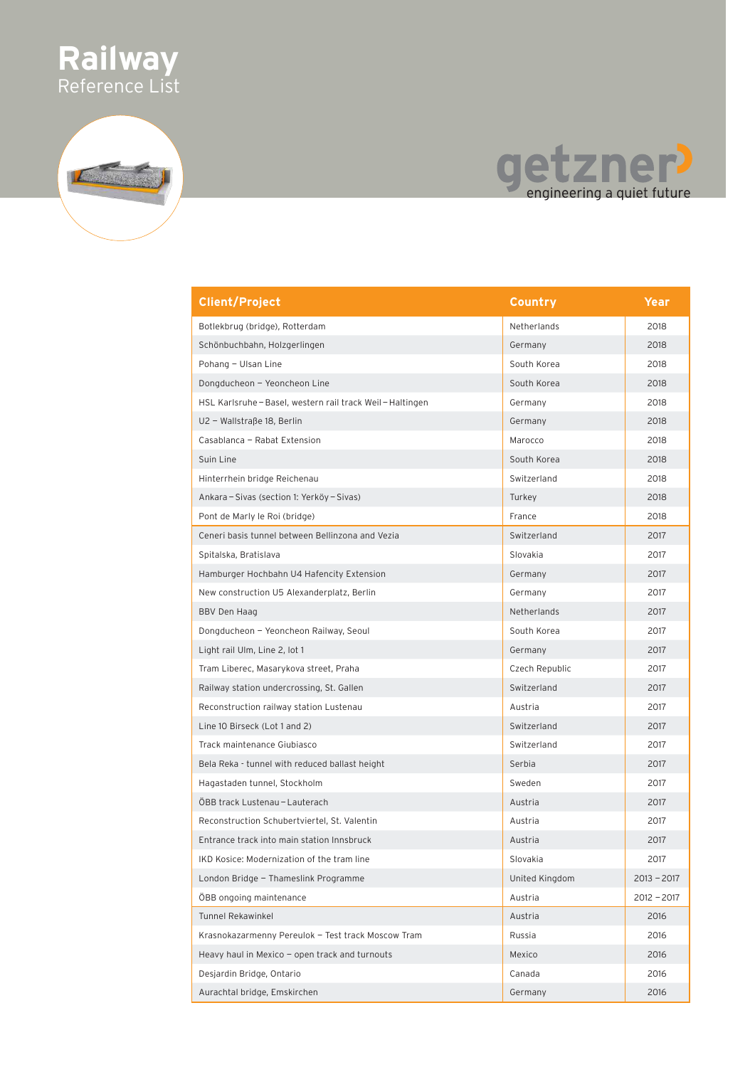

### getzner?

| <b>Client/Project</b>                                      | Country        | Year          |
|------------------------------------------------------------|----------------|---------------|
| Botlekbrug (bridge), Rotterdam                             | Netherlands    | 2018          |
| Schönbuchbahn, Holzgerlingen                               | Germany        | 2018          |
| Pohang - Ulsan Line                                        | South Korea    | 2018          |
| Dongducheon - Yeoncheon Line                               | South Korea    | 2018          |
| HSL Karlsruhe - Basel, western rail track Weil - Haltingen | Germany        | 2018          |
| U2 - Wallstraße 18, Berlin                                 | Germany        | 2018          |
| Casablanca - Rabat Extension                               | Marocco        | 2018          |
| Suin Line                                                  | South Korea    | 2018          |
| Hinterrhein bridge Reichenau                               | Switzerland    | 2018          |
| Ankara – Sivas (section 1: Yerköy – Sivas)                 | Turkey         | 2018          |
| Pont de Marly le Roi (bridge)                              | France         | 2018          |
| Ceneri basis tunnel between Bellinzona and Vezia           | Switzerland    | 2017          |
| Spitalska, Bratislava                                      | Slovakia       | 2017          |
| Hamburger Hochbahn U4 Hafencity Extension                  | Germany        | 2017          |
| New construction U5 Alexanderplatz, Berlin                 | Germany        | 2017          |
| BBV Den Haag                                               | Netherlands    | 2017          |
| Dongducheon - Yeoncheon Railway, Seoul                     | South Korea    | 2017          |
| Light rail Ulm, Line 2, lot 1                              | Germany        | 2017          |
| Tram Liberec, Masarykova street, Praha                     | Czech Republic | 2017          |
| Railway station undercrossing, St. Gallen                  | Switzerland    | 2017          |
| Reconstruction railway station Lustenau                    | Austria        | 2017          |
| Line 10 Birseck (Lot 1 and 2)                              | Switzerland    | 2017          |
| Track maintenance Giubiasco                                | Switzerland    | 2017          |
| Bela Reka - tunnel with reduced ballast height             | Serbia         | 2017          |
| Hagastaden tunnel, Stockholm                               | Sweden         | 2017          |
| ÖBB track Lustenau - Lauterach                             | Austria        | 2017          |
| Reconstruction Schubertviertel, St. Valentin               | Austria        | 2017          |
| Entrance track into main station Innsbruck                 | Austria        | 2017          |
| IKD Kosice: Modernization of the tram line                 | Slovakia       | 2017          |
| London Bridge - Thameslink Programme                       | United Kingdom | $2013 - 2017$ |
| ÖBB ongoing maintenance                                    | Austria        | $2012 - 2017$ |
| <b>Tunnel Rekawinkel</b>                                   | Austria        | 2016          |
| Krasnokazarmenny Pereulok - Test track Moscow Tram         | Russia         | 2016          |
| Heavy haul in Mexico - open track and turnouts             | Mexico         | 2016          |
| Desjardin Bridge, Ontario                                  | Canada         | 2016          |
| Aurachtal bridge, Emskirchen                               | Germany        | 2016          |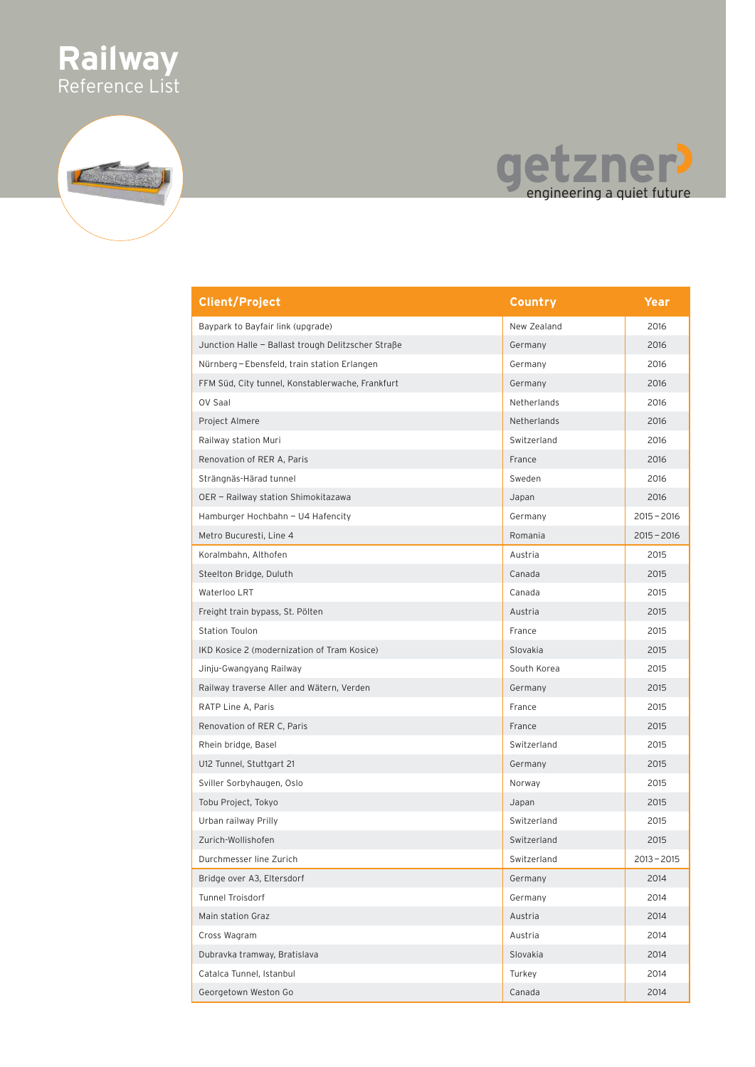

# getzner!

| <b>Client/Project</b>                              | Country     | Year          |
|----------------------------------------------------|-------------|---------------|
| Baypark to Bayfair link (upgrade)                  | New Zealand | 2016          |
| Junction Halle - Ballast trough Delitzscher Straße | Germany     | 2016          |
| Nürnberg - Ebensfeld, train station Erlangen       | Germany     | 2016          |
| FFM Süd, City tunnel, Konstablerwache, Frankfurt   | Germany     | 2016          |
| OV Saal                                            | Netherlands | 2016          |
| Project Almere                                     | Netherlands | 2016          |
| Railway station Muri                               | Switzerland | 2016          |
| Renovation of RER A, Paris                         | France      | 2016          |
| Strängnäs-Härad tunnel                             | Sweden      | 2016          |
| OER - Railway station Shimokitazawa                | Japan       | 2016          |
| Hamburger Hochbahn - U4 Hafencity                  | Germany     | $2015 - 2016$ |
| Metro Bucuresti, Line 4                            | Romania     | $2015 - 2016$ |
| Koralmbahn, Althofen                               | Austria     | 2015          |
| Steelton Bridge, Duluth                            | Canada      | 2015          |
| Waterloo LRT                                       | Canada      | 2015          |
| Freight train bypass, St. Pölten                   | Austria     | 2015          |
| Station Toulon                                     | France      | 2015          |
| IKD Kosice 2 (modernization of Tram Kosice)        | Slovakia    | 2015          |
| Jinju-Gwangyang Railway                            | South Korea | 2015          |
| Railway traverse Aller and Wätern, Verden          | Germany     | 2015          |
| RATP Line A, Paris                                 | France      | 2015          |
| Renovation of RER C, Paris                         | France      | 2015          |
| Rhein bridge, Basel                                | Switzerland | 2015          |
| U12 Tunnel, Stuttgart 21                           | Germany     | 2015          |
| Sviller Sorbyhaugen, Oslo                          | Norway      | 2015          |
| Tobu Project, Tokyo                                | Japan       | 2015          |
| Urban railway Prilly                               | Switzerland | 2015          |
| Zurich-Wollishofen                                 | Switzerland | 2015          |
| Durchmesser line Zurich                            | Switzerland | $2013 - 2015$ |
| Bridge over A3, Eltersdorf                         | Germany     | 2014          |
| Tunnel Troisdorf                                   | Germany     | 2014          |
| Main station Graz                                  | Austria     | 2014          |
| Cross Wagram                                       | Austria     | 2014          |
| Dubravka tramway, Bratislava                       | Slovakia    | 2014          |
| Catalca Tunnel, Istanbul                           | Turkey      | 2014          |
| Georgetown Weston Go                               | Canada      | 2014          |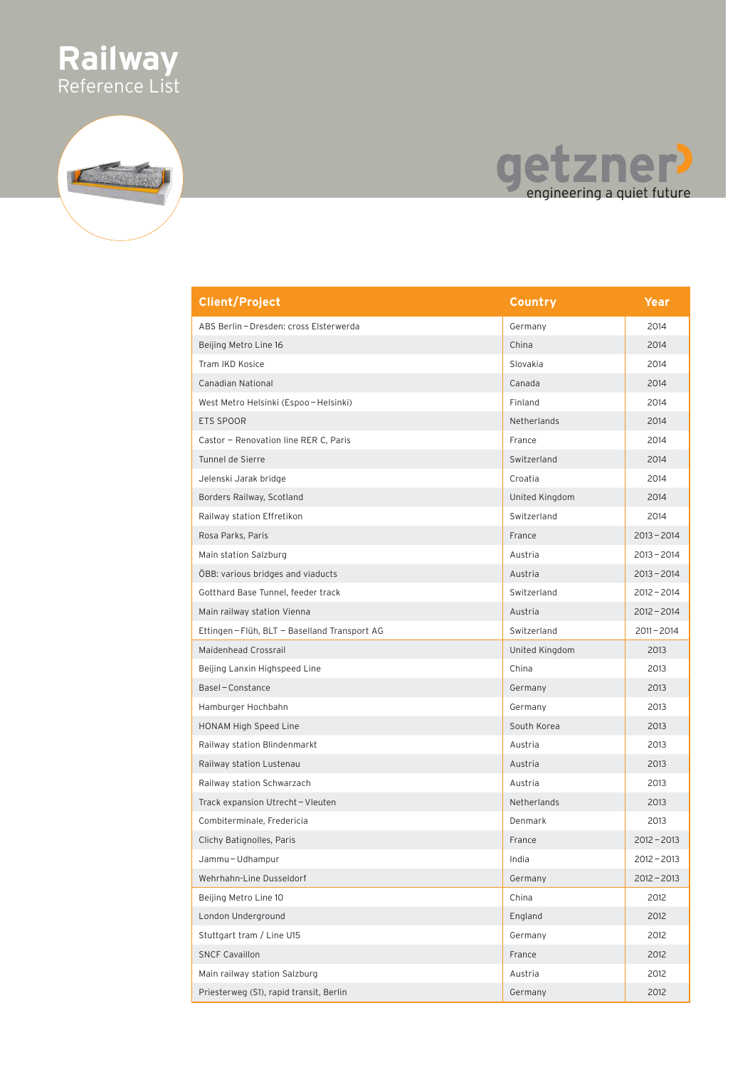

### getzner?

| <b>Client/Project</b>                       | Country        | Year          |
|---------------------------------------------|----------------|---------------|
| ABS Berlin - Dresden: cross Elsterwerda     | Germany        | 2014          |
| Beijing Metro Line 16                       | China          | 2014          |
| Tram IKD Kosice                             | Slovakia       | 2014          |
| <b>Canadian National</b>                    | Canada         | 2014          |
| West Metro Helsinki (Espoo-Helsinki)        | Finland        | 2014          |
| <b>ETS SPOOR</b>                            | Netherlands    | 2014          |
| Castor - Renovation line RER C, Paris       | France         | 2014          |
| Tunnel de Sierre                            | Switzerland    | 2014          |
| Jelenski Jarak bridge                       | Croatia        | 2014          |
| Borders Railway, Scotland                   | United Kingdom | 2014          |
| Railway station Effretikon                  | Switzerland    | 2014          |
| Rosa Parks, Paris                           | France         | $2013 - 2014$ |
| Main station Salzburg                       | Austria        | $2013 - 2014$ |
| ÖBB: various bridges and viaducts           | Austria        | $2013 - 2014$ |
| Gotthard Base Tunnel, feeder track          | Switzerland    | $2012 - 2014$ |
| Main railway station Vienna                 | Austria        | $2012 - 2014$ |
| Ettingen-Flüh, BLT - Baselland Transport AG | Switzerland    | $2011 - 2014$ |
| Maidenhead Crossrail                        | United Kingdom | 2013          |
| Beijing Lanxin Highspeed Line               | China          | 2013          |
| Basel-Constance                             | Germany        | 2013          |
| Hamburger Hochbahn                          | Germany        | 2013          |
| HONAM High Speed Line                       | South Korea    | 2013          |
| Railway station Blindenmarkt                | Austria        | 2013          |
| Railway station Lustenau                    | Austria        | 2013          |
| Railway station Schwarzach                  | Austria        | 2013          |
| Track expansion Utrecht - Vleuten           | Netherlands    | 2013          |
| Combiterminale, Fredericia                  | Denmark        | 2013          |
| Clichy Batignolles, Paris                   | France         | $2012 - 2013$ |
| Jammu-Udhampur                              | India          | $2012 - 2013$ |
| Wehrhahn-Line Dusseldorf                    | Germany        | $2012 - 2013$ |
| Beijing Metro Line 10                       | China          | 2012          |
| London Underground                          | England        | 2012          |
| Stuttgart tram / Line U15                   | Germany        | 2012          |
| <b>SNCF Cavaillon</b>                       | France         | 2012          |
| Main railway station Salzburg               | Austria        | 2012          |
| Priesterweg (S1), rapid transit, Berlin     | Germany        | 2012          |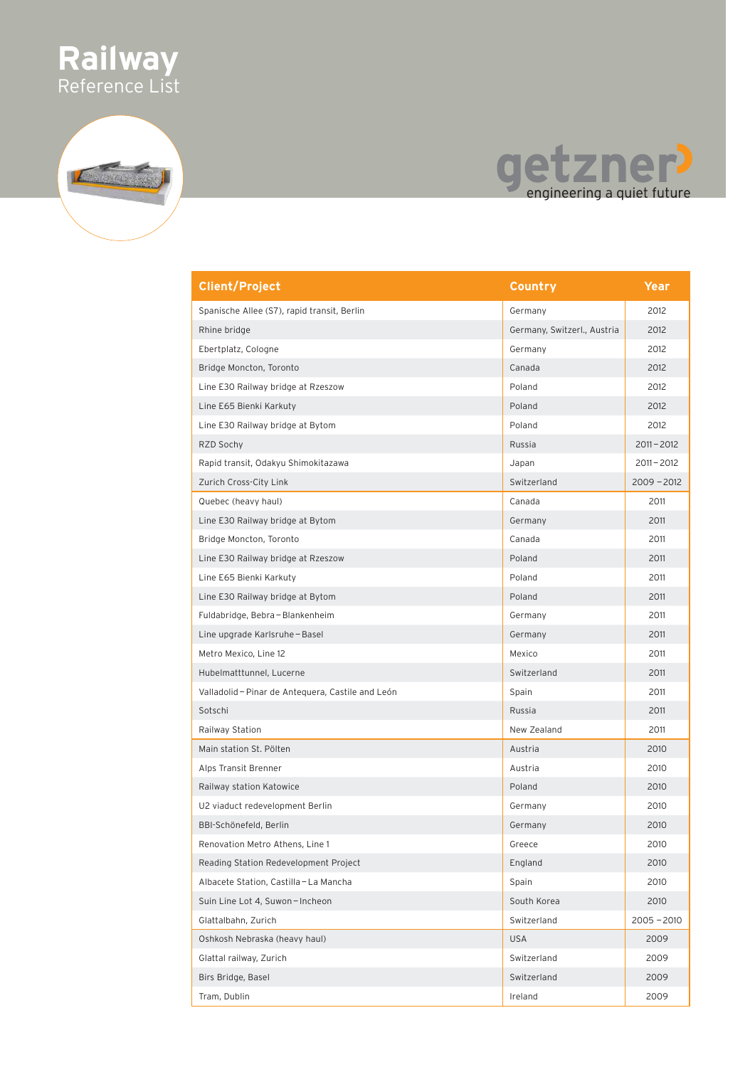

## getzner?

| <b>Client/Project</b>                           | <b>Country</b>              | Year          |
|-------------------------------------------------|-----------------------------|---------------|
| Spanische Allee (S7), rapid transit, Berlin     | Germany                     | 2012          |
| Rhine bridge                                    | Germany, Switzerl., Austria | 2012          |
| Ebertplatz, Cologne                             | Germany                     | 2012          |
| Bridge Moncton, Toronto                         | Canada                      | 2012          |
| Line E30 Railway bridge at Rzeszow              | Poland                      | 2012          |
| Line E65 Bienki Karkuty                         | Poland                      | 2012          |
| Line E30 Railway bridge at Bytom                | Poland                      | 2012          |
| RZD Sochy                                       | Russia                      | $2011 - 2012$ |
| Rapid transit, Odakyu Shimokitazawa             | Japan                       | $2011 - 2012$ |
| Zurich Cross-City Link                          | Switzerland                 | $2009 - 2012$ |
| Quebec (heavy haul)                             | Canada                      | 2011          |
| Line E30 Railway bridge at Bytom                | Germany                     | 2011          |
| Bridge Moncton, Toronto                         | Canada                      | 2011          |
| Line E30 Railway bridge at Rzeszow              | Poland                      | 2011          |
| Line E65 Bienki Karkuty                         | Poland                      | 2011          |
| Line E30 Railway bridge at Bytom                | Poland                      | 2011          |
| Fuldabridge, Bebra - Blankenheim                | Germany                     | 2011          |
| Line upgrade Karlsruhe - Basel                  | Germany                     | 2011          |
| Metro Mexico, Line 12                           | Mexico                      | 2011          |
| Hubelmatttunnel, Lucerne                        | Switzerland                 | 2011          |
| Valladolid-Pinar de Antequera, Castile and León | Spain                       | 2011          |
| Sotschi                                         | Russia                      | 2011          |
| Railway Station                                 | New Zealand                 | 2011          |
| Main station St. Pölten                         | Austria                     | 2010          |
| Alps Transit Brenner                            | Austria                     | 2010          |
| Railway station Katowice                        | Poland                      | 2010          |
| U2 viaduct redevelopment Berlin                 | Germany                     | 2010          |
| BBI-Schönefeld, Berlin                          | Germany                     | 2010          |
| Renovation Metro Athens, Line 1                 | Greece                      | 2010          |
| Reading Station Redevelopment Project           | England                     | 2010          |
| Albacete Station, Castilla - La Mancha          | Spain                       | 2010          |
| Suin Line Lot 4, Suwon-Incheon                  | South Korea                 | 2010          |
| Glattalbahn, Zurich                             | Switzerland                 | $2005 - 2010$ |
| Oshkosh Nebraska (heavy haul)                   | <b>USA</b>                  | 2009          |
| Glattal railway, Zurich                         | Switzerland                 | 2009          |
| Birs Bridge, Basel                              | Switzerland                 | 2009          |
| Tram, Dublin                                    | Ireland                     | 2009          |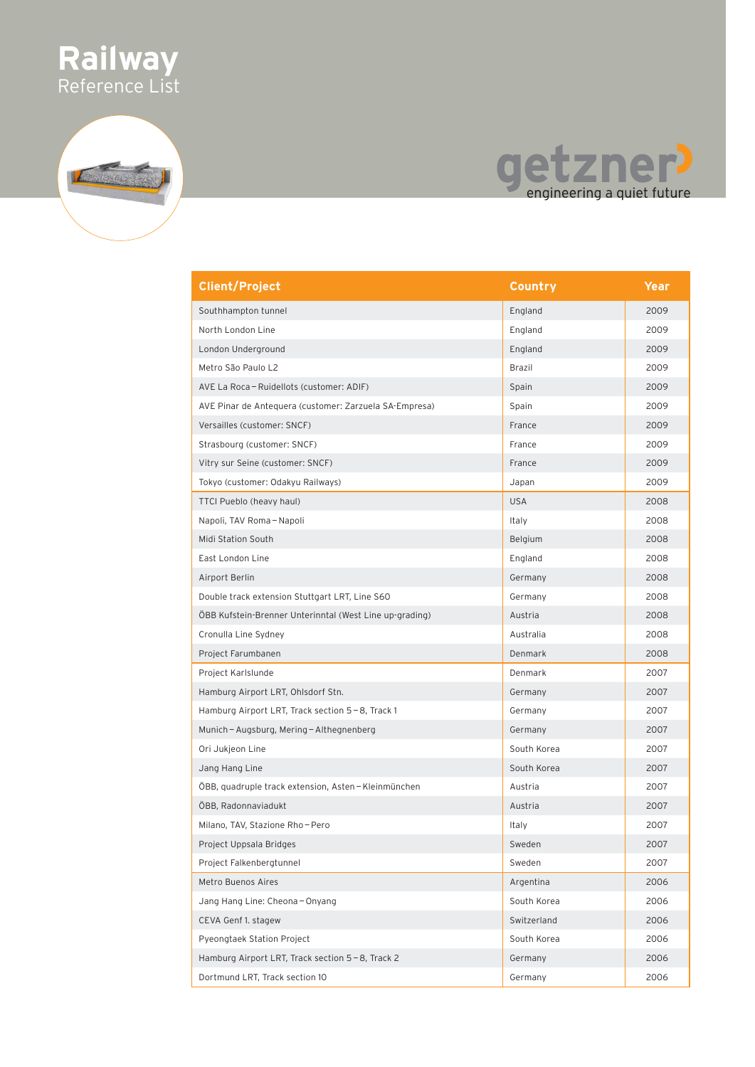

# getzner!

| <b>Client/Project</b>                                   | Country     | Year |
|---------------------------------------------------------|-------------|------|
| Southhampton tunnel                                     | England     | 2009 |
| North London Line                                       | England     | 2009 |
| London Underground                                      | England     | 2009 |
| Metro São Paulo L2                                      | Brazil      | 2009 |
| AVE La Roca - Ruidellots (customer: ADIF)               | Spain       | 2009 |
| AVE Pinar de Antequera (customer: Zarzuela SA-Empresa)  | Spain       | 2009 |
| Versailles (customer: SNCF)                             | France      | 2009 |
| Strasbourg (customer: SNCF)                             | France      | 2009 |
| Vitry sur Seine (customer: SNCF)                        | France      | 2009 |
| Tokyo (customer: Odakyu Railways)                       | Japan       | 2009 |
| TTCI Pueblo (heavy haul)                                | <b>USA</b>  | 2008 |
| Napoli, TAV Roma-Napoli                                 | Italy       | 2008 |
| Midi Station South                                      | Belgium     | 2008 |
| East London Line                                        | England     | 2008 |
| Airport Berlin                                          | Germany     | 2008 |
| Double track extension Stuttgart LRT, Line S60          | Germany     | 2008 |
| ÖBB Kufstein-Brenner Unterinntal (West Line up-grading) | Austria     | 2008 |
| Cronulla Line Sydney                                    | Australia   | 2008 |
| Project Farumbanen                                      | Denmark     | 2008 |
| Project Karlslunde                                      | Denmark     | 2007 |
| Hamburg Airport LRT, Ohlsdorf Stn.                      | Germany     | 2007 |
| Hamburg Airport LRT, Track section 5-8, Track 1         | Germany     | 2007 |
| Munich - Augsburg, Mering - Althegnenberg               | Germany     | 2007 |
| Ori Jukjeon Line                                        | South Korea | 2007 |
| Jang Hang Line                                          | South Korea | 2007 |
| ÖBB, quadruple track extension, Asten – Kleinmünchen    | Austria     | 2007 |
| ÖBB, Radonnaviadukt                                     | Austria     | 2007 |
| Milano, TAV, Stazione Rho-Pero                          | Italy       | 2007 |
| Project Uppsala Bridges                                 | Sweden      | 2007 |
| Project Falkenbergtunnel                                | Sweden      | 2007 |
| Metro Buenos Aires                                      | Argentina   | 2006 |
| Jang Hang Line: Cheona - Onyang                         | South Korea | 2006 |
| CEVA Genf 1. stagew                                     | Switzerland | 2006 |
| Pyeongtaek Station Project                              | South Korea | 2006 |
| Hamburg Airport LRT, Track section 5-8, Track 2         | Germany     | 2006 |
| Dortmund LRT, Track section 10                          | Germany     | 2006 |